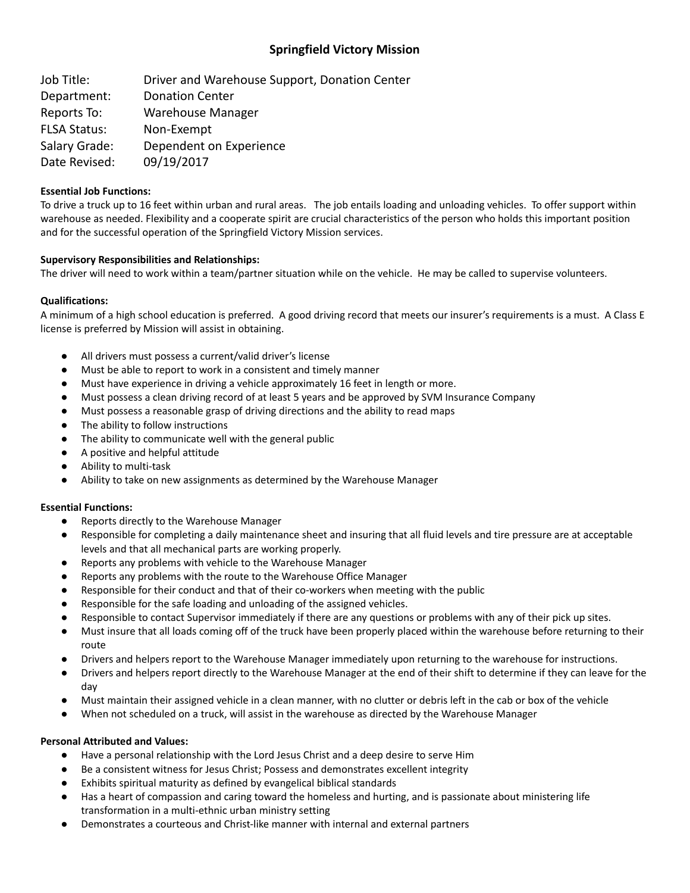# **Springfield Victory Mission**

Job Title: Driver and Warehouse Support, Donation Center Department: Donation Center Reports To: Warehouse Manager FLSA Status: Non-Exempt Salary Grade: Dependent on Experience Date Revised: 09/19/2017

## **Essential Job Functions:**

To drive a truck up to 16 feet within urban and rural areas. The job entails loading and unloading vehicles. To offer support within warehouse as needed. Flexibility and a cooperate spirit are crucial characteristics of the person who holds this important position and for the successful operation of the Springfield Victory Mission services.

# **Supervisory Responsibilities and Relationships:**

The driver will need to work within a team/partner situation while on the vehicle. He may be called to supervise volunteers.

# **Qualifications:**

A minimum of a high school education is preferred. A good driving record that meets our insurer's requirements is a must. A Class E license is preferred by Mission will assist in obtaining.

- All drivers must possess a current/valid driver's license
- Must be able to report to work in a consistent and timely manner
- Must have experience in driving a vehicle approximately 16 feet in length or more.
- Must possess a clean driving record of at least 5 years and be approved by SVM Insurance Company
- Must possess a reasonable grasp of driving directions and the ability to read maps
- The ability to follow instructions
- The ability to communicate well with the general public
- A positive and helpful attitude
- Ability to multi-task
- Ability to take on new assignments as determined by the Warehouse Manager

## **Essential Functions:**

- Reports directly to the Warehouse Manager
- Responsible for completing a daily maintenance sheet and insuring that all fluid levels and tire pressure are at acceptable levels and that all mechanical parts are working properly.
- Reports any problems with vehicle to the Warehouse Manager
- Reports any problems with the route to the Warehouse Office Manager
- Responsible for their conduct and that of their co-workers when meeting with the public
- Responsible for the safe loading and unloading of the assigned vehicles.
- Responsible to contact Supervisor immediately if there are any questions or problems with any of their pick up sites.
- Must insure that all loads coming off of the truck have been properly placed within the warehouse before returning to their route
- Drivers and helpers report to the Warehouse Manager immediately upon returning to the warehouse for instructions.
- Drivers and helpers report directly to the Warehouse Manager at the end of their shift to determine if they can leave for the day
- Must maintain their assigned vehicle in a clean manner, with no clutter or debris left in the cab or box of the vehicle
- When not scheduled on a truck, will assist in the warehouse as directed by the Warehouse Manager

## **Personal Attributed and Values:**

- Have a personal relationship with the Lord Jesus Christ and a deep desire to serve Him
- Be a consistent witness for Jesus Christ; Possess and demonstrates excellent integrity
- Exhibits spiritual maturity as defined by evangelical biblical standards
- Has a heart of compassion and caring toward the homeless and hurting, and is passionate about ministering life transformation in a multi-ethnic urban ministry setting
- Demonstrates a courteous and Christ-like manner with internal and external partners